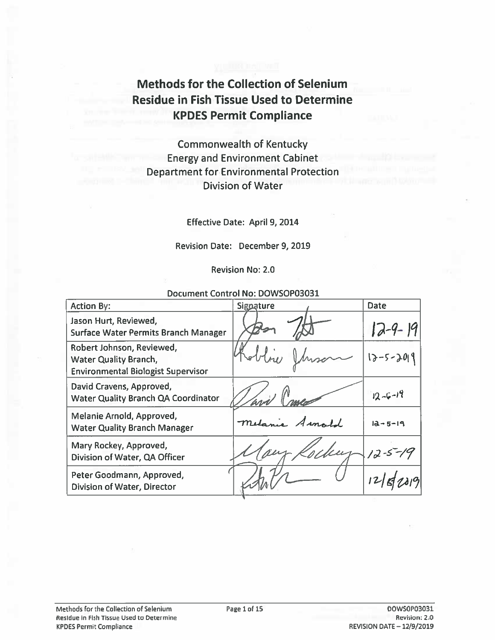# **Methods for the Collection of Selenium Residue in Fish Tissue Used to Determine KPDES Permit Compliance**

# **Commonwealth of Kentucky Energy and Environment Cabinet Department for Environmental Protection Division of Water**

**Effective Date: April 9, 2014** 

Revision Date: December 9, 2019

**Revision No: 2.0** 

| Document Control No: DOWSOP03031                                                                       |           |               |  |  |  |
|--------------------------------------------------------------------------------------------------------|-----------|---------------|--|--|--|
| <b>Action By:</b>                                                                                      | Signature | <b>Date</b>   |  |  |  |
| Jason Hurt, Reviewed,<br>Surface Water Permits Branch Manager                                          |           | $12-9-19$     |  |  |  |
| Robert Johnson, Reviewed,<br><b>Water Quality Branch,</b><br><b>Environmental Biologist Supervisor</b> |           | 12-5-2019     |  |  |  |
| David Cravens, Approved,<br><b>Water Quality Branch QA Coordinator</b>                                 |           | $12 - 6 - 19$ |  |  |  |
| Melanie Arnold, Approved,<br><b>Water Quality Branch Manager</b>                                       |           | $12 - 5 - 19$ |  |  |  |
| Mary Rockey, Approved,<br>Division of Water, QA Officer                                                |           | $12 - 5 - 19$ |  |  |  |
| Peter Goodmann, Approved,<br><b>Division of Water, Director</b>                                        |           |               |  |  |  |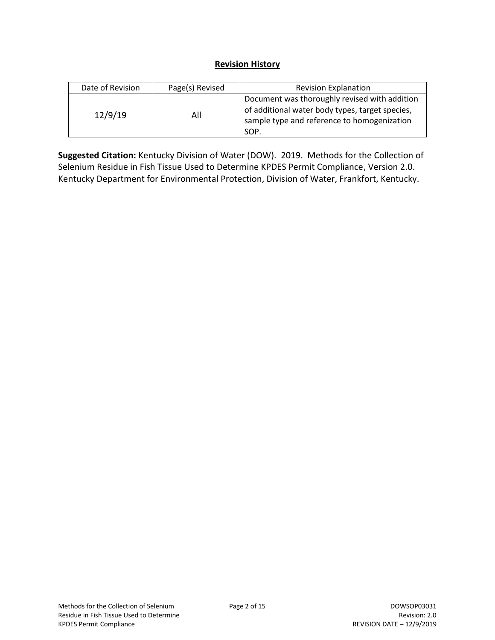#### **Revision History**

| Date of Revision | Page(s) Revised | <b>Revision Explanation</b>                                                                                                                             |  |  |
|------------------|-----------------|---------------------------------------------------------------------------------------------------------------------------------------------------------|--|--|
| 12/9/19          | All             | Document was thoroughly revised with addition<br>of additional water body types, target species,<br>sample type and reference to homogenization<br>SOP. |  |  |

**Suggested Citation:** Kentucky Division of Water (DOW). 2019. Methods for the Collection of Selenium Residue in Fish Tissue Used to Determine KPDES Permit Compliance, Version 2.0. Kentucky Department for Environmental Protection, Division of Water, Frankfort, Kentucky.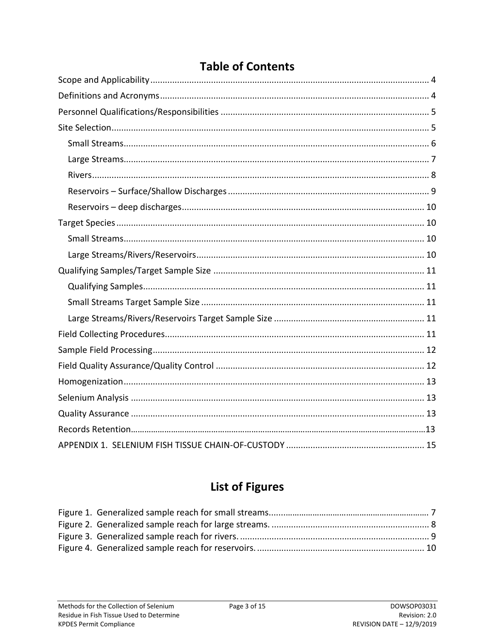# **Table of Contents**

# **List of Figures**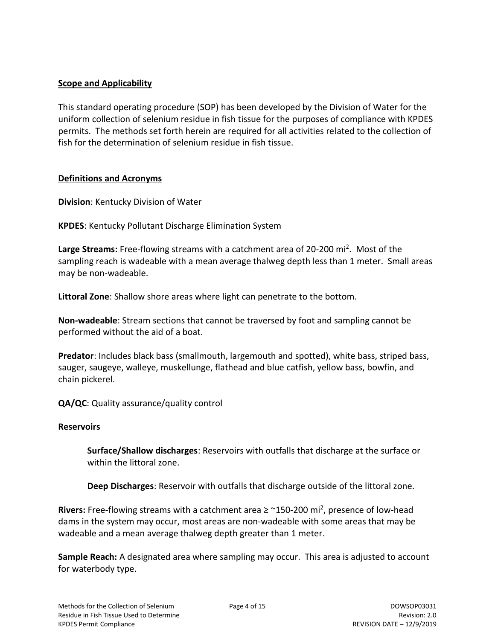#### <span id="page-3-0"></span>**Scope and Applicability**

This standard operating procedure (SOP) has been developed by the Division of Water for the uniform collection of selenium residue in fish tissue for the purposes of compliance with KPDES permits. The methods set forth herein are required for all activities related to the collection of fish for the determination of selenium residue in fish tissue.

#### <span id="page-3-1"></span>**Definitions and Acronyms**

**Division**: Kentucky Division of Water

**KPDES**: Kentucky Pollutant Discharge Elimination System

Large Streams: Free-flowing streams with a catchment area of 20-200 mi<sup>2</sup>. Most of the sampling reach is wadeable with a mean average thalweg depth less than 1 meter. Small areas may be non-wadeable.

**Littoral Zone**: Shallow shore areas where light can penetrate to the bottom.

**Non-wadeable**: Stream sections that cannot be traversed by foot and sampling cannot be performed without the aid of a boat.

**Predator**: Includes black bass (smallmouth, largemouth and spotted), white bass, striped bass, sauger, saugeye, walleye, muskellunge, flathead and blue catfish, yellow bass, bowfin, and chain pickerel.

**QA/QC**: Quality assurance/quality control

#### **Reservoirs**

**Surface/Shallow discharges**: Reservoirs with outfalls that discharge at the surface or within the littoral zone.

**Deep Discharges**: Reservoir with outfalls that discharge outside of the littoral zone.

Rivers: Free-flowing streams with a catchment area ≥ ~150-200 mi<sup>2</sup>, presence of low-head dams in the system may occur, most areas are non-wadeable with some areas that may be wadeable and a mean average thalweg depth greater than 1 meter.

**Sample Reach:** A designated area where sampling may occur. This area is adjusted to account for waterbody type.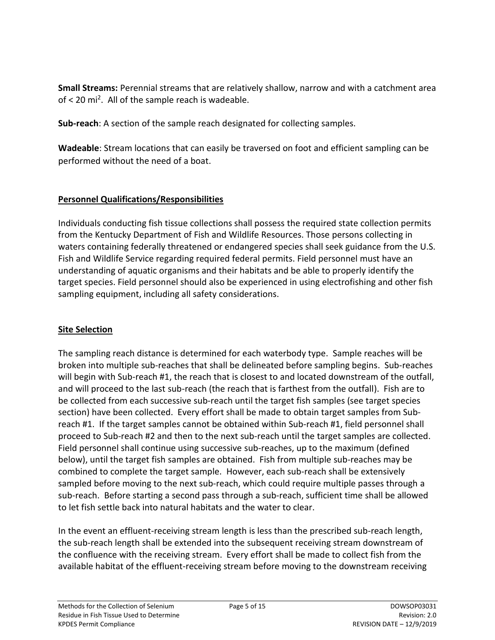**Small Streams:** Perennial streams that are relatively shallow, narrow and with a catchment area of < 20 mi<sup>2</sup>. All of the sample reach is wadeable.

**Sub-reach**: A section of the sample reach designated for collecting samples.

**Wadeable**: Stream locations that can easily be traversed on foot and efficient sampling can be performed without the need of a boat.

## <span id="page-4-0"></span>**Personnel Qualifications/Responsibilities**

Individuals conducting fish tissue collections shall possess the required state collection permits from the Kentucky Department of Fish and Wildlife Resources. Those persons collecting in waters containing federally threatened or endangered species shall seek guidance from the U.S. Fish and Wildlife Service regarding required federal permits. Field personnel must have an understanding of aquatic organisms and their habitats and be able to properly identify the target species. Field personnel should also be experienced in using electrofishing and other fish sampling equipment, including all safety considerations.

#### <span id="page-4-1"></span>**Site Selection**

The sampling reach distance is determined for each waterbody type. Sample reaches will be broken into multiple sub-reaches that shall be delineated before sampling begins. Sub-reaches will begin with Sub-reach #1, the reach that is closest to and located downstream of the outfall, and will proceed to the last sub-reach (the reach that is farthest from the outfall). Fish are to be collected from each successive sub-reach until the target fish samples (see target species section) have been collected. Every effort shall be made to obtain target samples from Subreach #1. If the target samples cannot be obtained within Sub-reach #1, field personnel shall proceed to Sub-reach #2 and then to the next sub-reach until the target samples are collected. Field personnel shall continue using successive sub-reaches, up to the maximum (defined below), until the target fish samples are obtained. Fish from multiple sub-reaches may be combined to complete the target sample. However, each sub-reach shall be extensively sampled before moving to the next sub-reach, which could require multiple passes through a sub-reach. Before starting a second pass through a sub-reach, sufficient time shall be allowed to let fish settle back into natural habitats and the water to clear.

In the event an effluent-receiving stream length is less than the prescribed sub-reach length, the sub-reach length shall be extended into the subsequent receiving stream downstream of the confluence with the receiving stream. Every effort shall be made to collect fish from the available habitat of the effluent-receiving stream before moving to the downstream receiving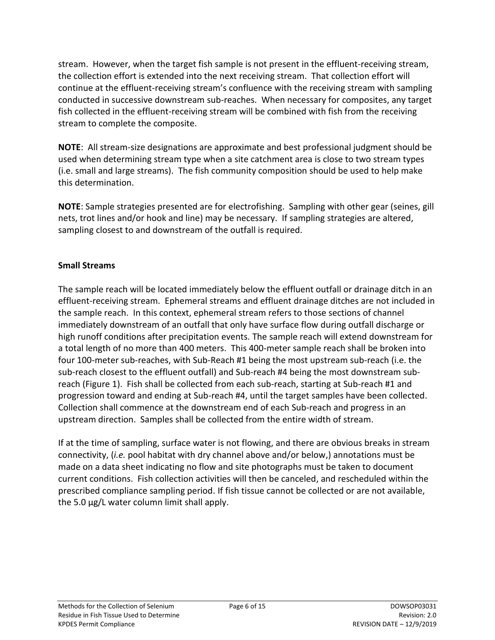stream. However, when the target fish sample is not present in the effluent-receiving stream, the collection effort is extended into the next receiving stream. That collection effort will continue at the effluent-receiving stream's confluence with the receiving stream with sampling conducted in successive downstream sub-reaches. When necessary for composites, any target fish collected in the effluent-receiving stream will be combined with fish from the receiving stream to complete the composite.

**NOTE**: All stream-size designations are approximate and best professional judgment should be used when determining stream type when a site catchment area is close to two stream types (i.e. small and large streams). The fish community composition should be used to help make this determination.

**NOTE**: Sample strategies presented are for electrofishing. Sampling with other gear (seines, gill nets, trot lines and/or hook and line) may be necessary. If sampling strategies are altered, sampling closest to and downstream of the outfall is required.

## <span id="page-5-0"></span>**Small Streams**

The sample reach will be located immediately below the effluent outfall or drainage ditch in an effluent-receiving stream. Ephemeral streams and effluent drainage ditches are not included in the sample reach. In this context, ephemeral stream refers to those sections of channel immediately downstream of an outfall that only have surface flow during outfall discharge or high runoff conditions after precipitation events. The sample reach will extend downstream for a total length of no more than 400 meters. This 400-meter sample reach shall be broken into four 100-meter sub-reaches, with Sub-Reach #1 being the most upstream sub-reach (i.e. the sub-reach closest to the effluent outfall) and Sub-reach #4 being the most downstream subreach (Figure 1). Fish shall be collected from each sub-reach, starting at Sub-reach #1 and progression toward and ending at Sub-reach #4, until the target samples have been collected. Collection shall commence at the downstream end of each Sub-reach and progress in an upstream direction. Samples shall be collected from the entire width of stream.

If at the time of sampling, surface water is not flowing, and there are obvious breaks in stream connectivity, (*i.e.* pool habitat with dry channel above and/or below,) annotations must be made on a data sheet indicating no flow and site photographs must be taken to document current conditions. Fish collection activities will then be canceled, and rescheduled within the prescribed compliance sampling period. If fish tissue cannot be collected or are not available, the 5.0 µg/L water column limit shall apply.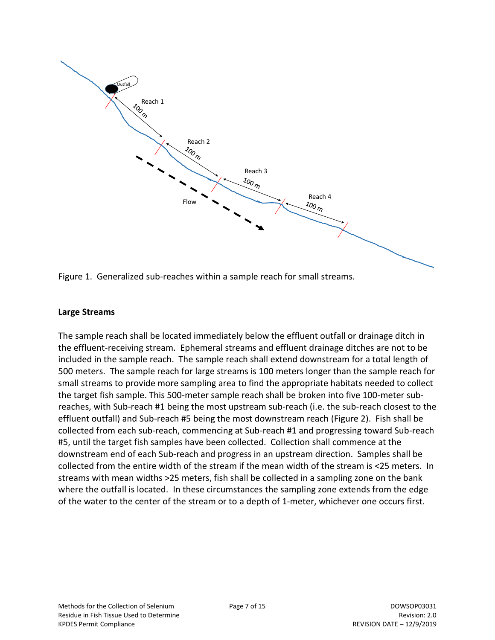



#### <span id="page-6-0"></span>**Large Streams**

The sample reach shall be located immediately below the effluent outfall or drainage ditch in the effluent-receiving stream. Ephemeral streams and effluent drainage ditches are not to be included in the sample reach. The sample reach shall extend downstream for a total length of 500 meters. The sample reach for large streams is 100 meters longer than the sample reach for small streams to provide more sampling area to find the appropriate habitats needed to collect the target fish sample. This 500-meter sample reach shall be broken into five 100-meter subreaches, with Sub-reach #1 being the most upstream sub-reach (i.e. the sub-reach closest to the effluent outfall) and Sub-reach #5 being the most downstream reach (Figure 2). Fish shall be collected from each sub-reach, commencing at Sub-reach #1 and progressing toward Sub-reach #5, until the target fish samples have been collected. Collection shall commence at the downstream end of each Sub-reach and progress in an upstream direction. Samples shall be collected from the entire width of the stream if the mean width of the stream is <25 meters. In streams with mean widths >25 meters, fish shall be collected in a sampling zone on the bank where the outfall is located. In these circumstances the sampling zone extends from the edge of the water to the center of the stream or to a depth of 1-meter, whichever one occurs first.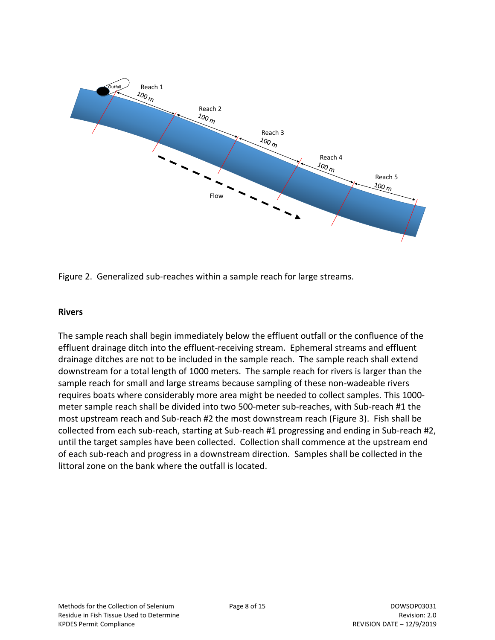

<span id="page-7-1"></span>Figure 2. Generalized sub-reaches within a sample reach for large streams.

#### <span id="page-7-0"></span>**Rivers**

The sample reach shall begin immediately below the effluent outfall or the confluence of the effluent drainage ditch into the effluent-receiving stream. Ephemeral streams and effluent drainage ditches are not to be included in the sample reach. The sample reach shall extend downstream for a total length of 1000 meters. The sample reach for rivers is larger than the sample reach for small and large streams because sampling of these non-wadeable rivers requires boats where considerably more area might be needed to collect samples. This 1000 meter sample reach shall be divided into two 500-meter sub-reaches, with Sub-reach #1 the most upstream reach and Sub-reach #2 the most downstream reach (Figure 3). Fish shall be collected from each sub-reach, starting at Sub-reach #1 progressing and ending in Sub-reach #2, until the target samples have been collected. Collection shall commence at the upstream end of each sub-reach and progress in a downstream direction. Samples shall be collected in the littoral zone on the bank where the outfall is located.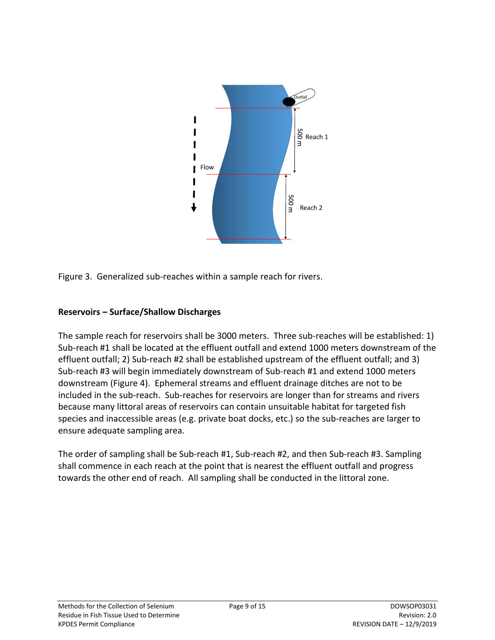

<span id="page-8-1"></span>Figure 3. Generalized sub-reaches within a sample reach for rivers.

## <span id="page-8-0"></span>**Reservoirs – Surface/Shallow Discharges**

The sample reach for reservoirs shall be 3000 meters. Three sub-reaches will be established: 1) Sub-reach #1 shall be located at the effluent outfall and extend 1000 meters downstream of the effluent outfall; 2) Sub-reach #2 shall be established upstream of the effluent outfall; and 3) Sub-reach #3 will begin immediately downstream of Sub-reach #1 and extend 1000 meters downstream (Figure 4). Ephemeral streams and effluent drainage ditches are not to be included in the sub-reach. Sub-reaches for reservoirs are longer than for streams and rivers because many littoral areas of reservoirs can contain unsuitable habitat for targeted fish species and inaccessible areas (e.g. private boat docks, etc.) so the sub-reaches are larger to ensure adequate sampling area.

The order of sampling shall be Sub-reach #1, Sub-reach #2, and then Sub-reach #3. Sampling shall commence in each reach at the point that is nearest the effluent outfall and progress towards the other end of reach. All sampling shall be conducted in the littoral zone.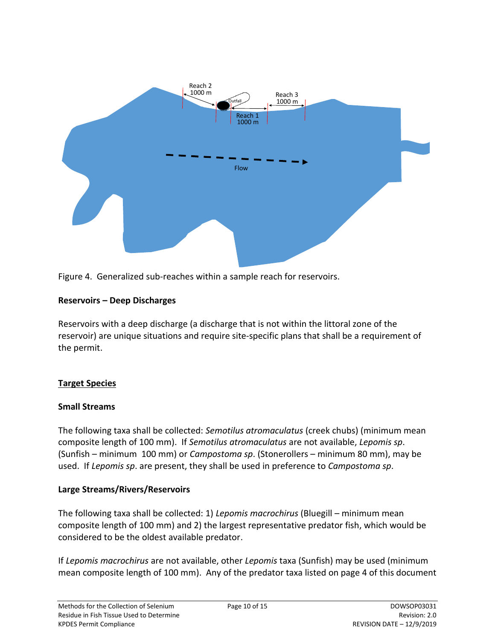

<span id="page-9-4"></span>

#### <span id="page-9-0"></span>**Reservoirs – Deep Discharges**

Reservoirs with a deep discharge (a discharge that is not within the littoral zone of the reservoir) are unique situations and require site-specific plans that shall be a requirement of the permit.

## <span id="page-9-1"></span>**Target Species**

#### <span id="page-9-2"></span>**Small Streams**

The following taxa shall be collected: *Semotilus atromaculatus* (creek chubs) (minimum mean composite length of 100 mm). If *Semotilus atromaculatus* are not available, *Lepomis sp*. (Sunfish – minimum 100 mm) or *Campostoma sp*. (Stonerollers – minimum 80 mm), may be used. If *Lepomis sp*. are present, they shall be used in preference to *Campostoma sp*.

#### <span id="page-9-3"></span>**Large Streams/Rivers/Reservoirs**

The following taxa shall be collected: 1) *Lepomis macrochirus* (Bluegill – minimum mean composite length of 100 mm) and 2) the largest representative predator fish, which would be considered to be the oldest available predator.

If *Lepomis macrochirus* are not available, other *Lepomis* taxa (Sunfish) may be used (minimum mean composite length of 100 mm). Any of the predator taxa listed on page 4 of this document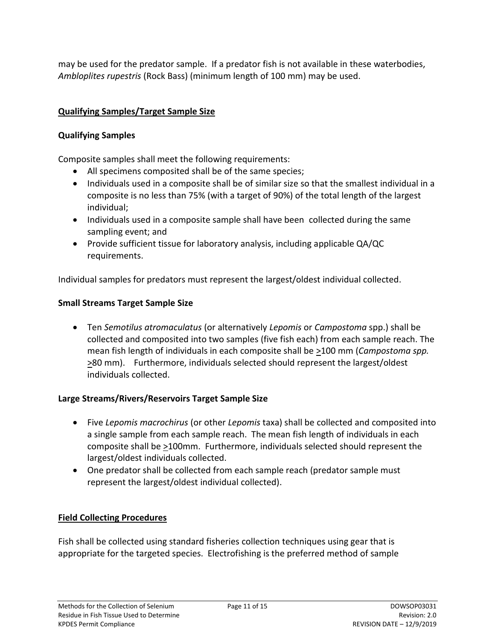may be used for the predator sample. If a predator fish is not available in these waterbodies, *Ambloplites rupestris* (Rock Bass) (minimum length of 100 mm) may be used.

## <span id="page-10-0"></span>**Qualifying Samples/Target Sample Size**

## <span id="page-10-1"></span>**Qualifying Samples**

Composite samples shall meet the following requirements:

- All specimens composited shall be of the same species;
- Individuals used in a composite shall be of similar size so that the smallest individual in a composite is no less than 75% (with a target of 90%) of the total length of the largest individual;
- Individuals used in a composite sample shall have been collected during the same sampling event; and
- Provide sufficient tissue for laboratory analysis, including applicable QA/QC requirements.

Individual samples for predators must represent the largest/oldest individual collected.

## <span id="page-10-2"></span>**Small Streams Target Sample Size**

 Ten *Semotilus atromaculatus* (or alternatively *Lepomis* or *Campostoma* spp.) shall be collected and composited into two samples (five fish each) from each sample reach. The mean fish length of individuals in each composite shall be >100 mm (*Campostoma spp.*  $\geq$ 80 mm). Furthermore, individuals selected should represent the largest/oldest individuals collected.

## <span id="page-10-3"></span>**Large Streams/Rivers/Reservoirs Target Sample Size**

- Five *Lepomis macrochirus* (or other *Lepomis* taxa) shall be collected and composited into a single sample from each sample reach. The mean fish length of individuals in each composite shall be >100mm. Furthermore, individuals selected should represent the largest/oldest individuals collected.
- One predator shall be collected from each sample reach (predator sample must represent the largest/oldest individual collected).

## <span id="page-10-4"></span>**Field Collecting Procedures**

Fish shall be collected using standard fisheries collection techniques using gear that is appropriate for the targeted species. Electrofishing is the preferred method of sample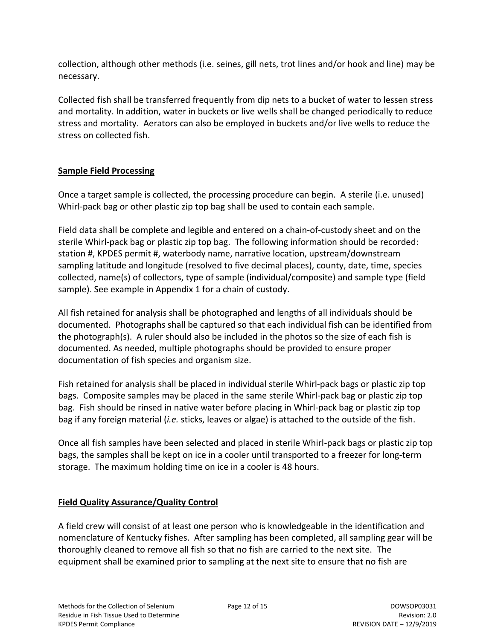collection, although other methods (i.e. seines, gill nets, trot lines and/or hook and line) may be necessary.

Collected fish shall be transferred frequently from dip nets to a bucket of water to lessen stress and mortality. In addition, water in buckets or live wells shall be changed periodically to reduce stress and mortality. Aerators can also be employed in buckets and/or live wells to reduce the stress on collected fish.

## <span id="page-11-0"></span>**Sample Field Processing**

Once a target sample is collected, the processing procedure can begin. A sterile (i.e. unused) Whirl-pack bag or other plastic zip top bag shall be used to contain each sample.

Field data shall be complete and legible and entered on a chain-of-custody sheet and on the sterile Whirl-pack bag or plastic zip top bag. The following information should be recorded: station #, KPDES permit #, waterbody name, narrative location, upstream/downstream sampling latitude and longitude (resolved to five decimal places), county, date, time, species collected, name(s) of collectors, type of sample (individual/composite) and sample type (field sample). See example in Appendix 1 for a chain of custody.

All fish retained for analysis shall be photographed and lengths of all individuals should be documented. Photographs shall be captured so that each individual fish can be identified from the photograph(s). A ruler should also be included in the photos so the size of each fish is documented. As needed, multiple photographs should be provided to ensure proper documentation of fish species and organism size.

Fish retained for analysis shall be placed in individual sterile Whirl-pack bags or plastic zip top bags. Composite samples may be placed in the same sterile Whirl-pack bag or plastic zip top bag. Fish should be rinsed in native water before placing in Whirl-pack bag or plastic zip top bag if any foreign material (*i.e.* sticks, leaves or algae) is attached to the outside of the fish.

Once all fish samples have been selected and placed in sterile Whirl-pack bags or plastic zip top bags, the samples shall be kept on ice in a cooler until transported to a freezer for long-term storage. The maximum holding time on ice in a cooler is 48 hours.

## <span id="page-11-1"></span>**Field Quality Assurance/Quality Control**

A field crew will consist of at least one person who is knowledgeable in the identification and nomenclature of Kentucky fishes. After sampling has been completed, all sampling gear will be thoroughly cleaned to remove all fish so that no fish are carried to the next site. The equipment shall be examined prior to sampling at the next site to ensure that no fish are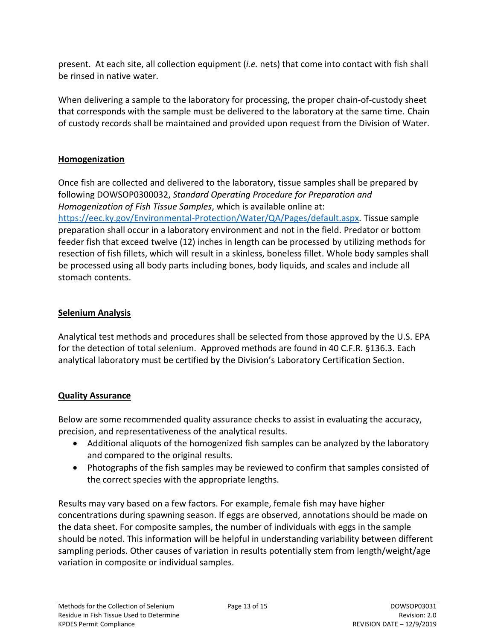present. At each site, all collection equipment (*i.e.* nets) that come into contact with fish shall be rinsed in native water.

When delivering a sample to the laboratory for processing, the proper chain-of-custody sheet that corresponds with the sample must be delivered to the laboratory at the same time. Chain of custody records shall be maintained and provided upon request from the Division of Water.

### <span id="page-12-0"></span>**Homogenization**

Once fish are collected and delivered to the laboratory, tissue samples shall be prepared by following DOWSOP0300032, *Standard Operating Procedure for Preparation and Homogenization of Fish Tissue Samples*, which is available online at: <https://eec.ky.gov/Environmental-Protection/Water/QA/Pages/default.aspx>*.* Tissue sample preparation shall occur in a laboratory environment and not in the field. Predator or bottom feeder fish that exceed twelve (12) inches in length can be processed by utilizing methods for resection of fish fillets, which will result in a skinless, boneless fillet. Whole body samples shall be processed using all body parts including bones, body liquids, and scales and include all stomach contents.

## <span id="page-12-1"></span>**Selenium Analysis**

Analytical test methods and procedures shall be selected from those approved by the U.S. EPA for the detection of total selenium. Approved methods are found in 40 C.F.R. §136.3. Each analytical laboratory must be certified by the Division's Laboratory Certification Section.

# <span id="page-12-2"></span>**Quality Assurance**

Below are some recommended quality assurance checks to assist in evaluating the accuracy, precision, and representativeness of the analytical results.

- Additional aliquots of the homogenized fish samples can be analyzed by the laboratory and compared to the original results.
- Photographs of the fish samples may be reviewed to confirm that samples consisted of the correct species with the appropriate lengths.

Results may vary based on a few factors. For example, female fish may have higher concentrations during spawning season. If eggs are observed, annotations should be made on the data sheet. For composite samples, the number of individuals with eggs in the sample should be noted. This information will be helpful in understanding variability between different sampling periods. Other causes of variation in results potentially stem from length/weight/age variation in composite or individual samples.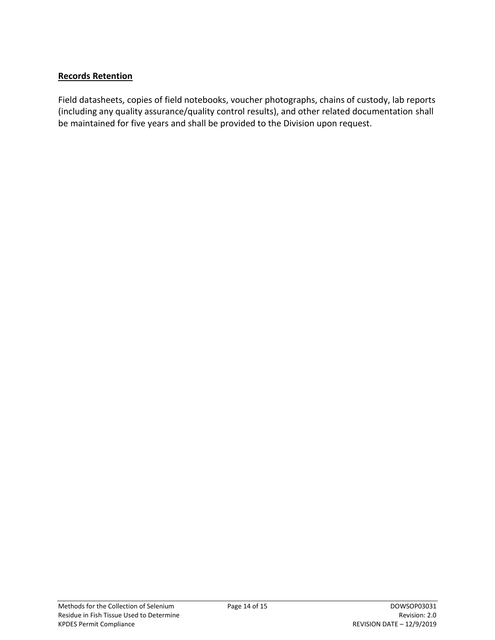#### **Records Retention**

Field datasheets, copies of field notebooks, voucher photographs, chains of custody, lab reports (including any quality assurance/quality control results), and other related documentation shall be maintained for five years and shall be provided to the Division upon request.